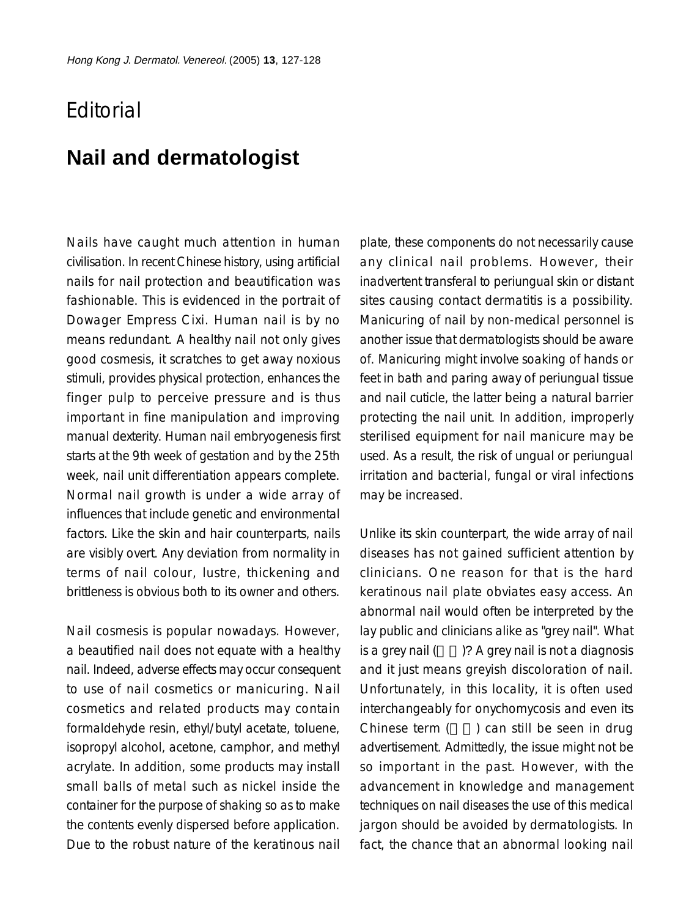## Editorial

## **Nail and dermatologist**

Nails have caught much attention in human civilisation. In recent Chinese history, using artificial nails for nail protection and beautification was fashionable. This is evidenced in the portrait of Dowager Empress Cixi. Human nail is by no means redundant. A healthy nail not only gives good cosmesis, it scratches to get away noxious stimuli, provides physical protection, enhances the finger pulp to perceive pressure and is thus important in fine manipulation and improving manual dexterity. Human nail embryogenesis first starts at the 9th week of gestation and by the 25th week, nail unit differentiation appears complete. Normal nail growth is under a wide array of influences that include genetic and environmental factors. Like the skin and hair counterparts, nails are visibly overt. Any deviation from normality in terms of nail colour, lustre, thickening and brittleness is obvious both to its owner and others.

Nail cosmesis is popular nowadays. However, a beautified nail does not equate with a healthy nail. Indeed, adverse effects may occur consequent to use of nail cosmetics or manicuring. Nail cosmetics and related products may contain formaldehyde resin, ethyl/butyl acetate, toluene, isopropyl alcohol, acetone, camphor, and methyl acrylate. In addition, some products may install small balls of metal such as nickel inside the container for the purpose of shaking so as to make the contents evenly dispersed before application. Due to the robust nature of the keratinous nail

plate, these components do not necessarily cause any clinical nail problems. However, their inadvertent transferal to periungual skin or distant sites causing contact dermatitis is a possibility. Manicuring of nail by non-medical personnel is another issue that dermatologists should be aware of. Manicuring might involve soaking of hands or feet in bath and paring away of periungual tissue and nail cuticle, the latter being a natural barrier protecting the nail unit. In addition, improperly sterilised equipment for nail manicure may be used. As a result, the risk of ungual or periungual irritation and bacterial, fungal or viral infections may be increased.

Unlike its skin counterpart, the wide array of nail diseases has not gained sufficient attention by clinicians. One reason for that is the hard keratinous nail plate obviates easy access. An abnormal nail would often be interpreted by the lay public and clinicians alike as "grey nail". What is a grey nail  $($ )? A grey nail is not a diagnosis and it just means greyish discoloration of nail. Unfortunately, in this locality, it is often used interchangeably for onychomycosis and even its Chinese term  $($ ) can still be seen in drug advertisement. Admittedly, the issue might not be so important in the past. However, with the advancement in knowledge and management techniques on nail diseases the use of this medical jargon should be avoided by dermatologists. In fact, the chance that an abnormal looking nail